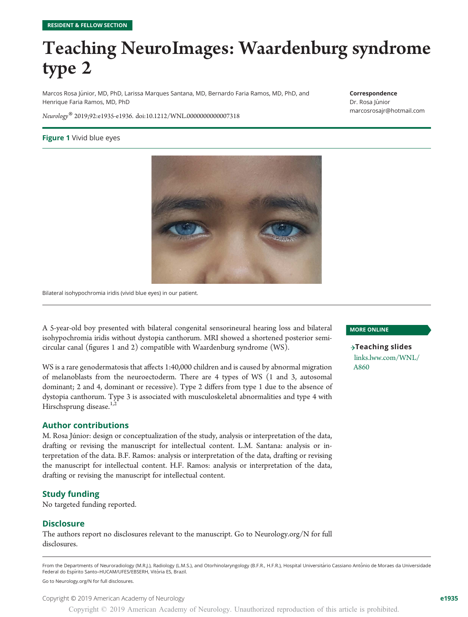## Teaching NeuroImages: Waardenburg syndrome type 2

Marcos Rosa Júnior, MD, PhD, Larissa Marques Santana, MD, Bernardo Faria Ramos, MD, PhD, and Henrique Faria Ramos, MD, PhD

#### Correspondence

Dr. Rosa Júnior [marcosrosajr@hotmail.com](mailto:marcosrosajr@hotmail.com)

Neurology® 2019;92:e1935-e1936. doi[:10.1212/WNL.0000000000007318](http://dx.doi.org/10.1212/WNL.0000000000007318)

#### Figure 1 Vivid blue eyes



Bilateral isohypochromia iridis (vivid blue eyes) in our patient.

A 5-year-old boy presented with bilateral congenital sensorineural hearing loss and bilateral isohypochromia iridis without dystopia canthorum. MRI showed a shortened posterior semicircular canal (figures 1 and 2) compatible with Waardenburg syndrome (WS).

WS is a rare genodermatosis that affects 1:40,000 children and is caused by abnormal migration of melanoblasts from the neuroectoderm. There are 4 types of WS (1 and 3, autosomal dominant; 2 and 4, dominant or recessive). Type 2 differs from type 1 due to the absence of dystopia canthorum. Type 3 is associated with musculoskeletal abnormalities and type 4 with Hirschsprung disease.<sup>1,2</sup>

#### Author contributions

M. Rosa Júnior: design or conceptualization of the study, analysis or interpretation of the data, drafting or revising the manuscript for intellectual content. L.M. Santana: analysis or interpretation of the data. B.F. Ramos: analysis or interpretation of the data, drafting or revising the manuscript for intellectual content. H.F. Ramos: analysis or interpretation of the data, drafting or revising the manuscript for intellectual content.

#### Study funding

No targeted funding reported.

#### **Disclosure**

The authors report no disclosures relevant to the manuscript. Go to [Neurology.org/N](http://n.neurology.org/lookup/doi/10.1212/WNL.0000000000007318) for full disclosures.

From the Departments of Neuroradiology (M.R.J.), Radiology (L.M.S.), and Otorhinolaryngology (B.F.R., H.F.R.), Hospital Universitário Cassiano Antônio de Moraes da Universidade Federal do Espírito Santo-HUCAM/UFES/EBSERH, Vitória ES, Brazil.

Go to [Neurology.org/N](http://n.neurology.org/lookup/doi/10.1212/WNL.0000000000007318) for full disclosures.

Copyright © 2019 American Academy of Neurology entries and the set of the set of the set of the set of the set of the set of the set of the set of the set of the set of the set of the set of the set of the set of the set o

#### MORE ONLINE

 $\rightarrow$ Teaching slides [links.lww.com/WNL/](http://links.lww.com/WNL/A860) [A860](http://links.lww.com/WNL/A860)

Copyright © 2019 American Academy of Neurology. Unauthorized reproduction of this article is prohibited.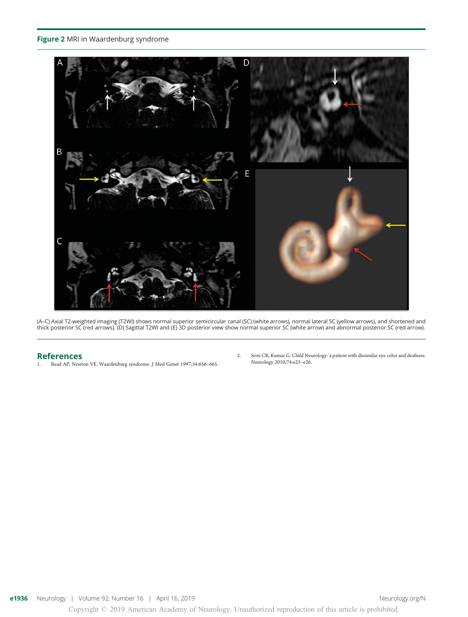#### Figure 2 MRI in Waardenburg syndrome



(A–C) Axial T2-weighted imaging (T2WI) shows normal superior semicircular canal (SC) (white arrows), normal lateral SC (yellow arrows), and shortened and<br>thick posterior SC (red arrows). (D) Sagittal T2WI and (E) 3D poster

### References<br>1. Read AP, Newt

- Read AP, Newton VE. Waardenburg syndrome. J Med Genet 1997;34:656-665.
- 2. Soni CR, Kumar G. Child Neurology: a patient with dissimilar eye color and deafness. Neurology 2010;74:e25–e26.

Copyright © 2019 American Academy of Neurology. Unauthorized reproduction of this article is prohibited.